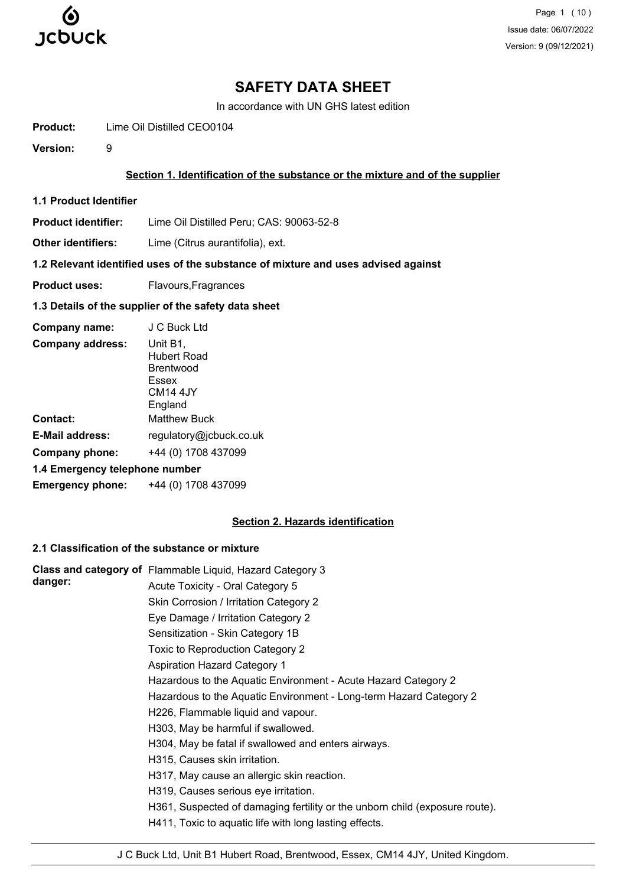

Page 1 (10) Issue date: 06/07/2022 Version: 9 (09/12/2021)

# **SAFETY DATA SHEET**

In accordance with UN GHS latest edition

**Product:** Lime Oil Distilled CEO0104

**Version:** 9

### **Section 1. Identification of the substance or the mixture and of the supplier**

**1.1 Product Identifier**

**Product identifier:** Lime Oil Distilled Peru; CAS: 90063-52-8

**Other identifiers:** Lime (Citrus aurantifolia), ext.

## **1.2 Relevant identified uses of the substance of mixture and uses advised against**

**Product uses:** Flavours, Fragrances

# **1.3 Details of the supplier of the safety data sheet**

| Company name:                  | J C Buck Ltd                                                                            |  |  |  |
|--------------------------------|-----------------------------------------------------------------------------------------|--|--|--|
| <b>Company address:</b>        | Unit B1,<br><b>Hubert Road</b><br>Brentwood<br>Essex<br>CM <sub>14</sub> 4JY<br>England |  |  |  |
| <b>Contact:</b>                | <b>Matthew Buck</b>                                                                     |  |  |  |
| <b>E-Mail address:</b>         | regulatory@jcbuck.co.uk                                                                 |  |  |  |
| <b>Company phone:</b>          | +44 (0) 1708 437099                                                                     |  |  |  |
| 1.4 Emergency telephone number |                                                                                         |  |  |  |
| <b>Emergency phone:</b>        | +44 (0) 1708 437099                                                                     |  |  |  |

# **Section 2. Hazards identification**

# **2.1 Classification of the substance or mixture**

|         | Class and category of Flammable Liquid, Hazard Category 3                   |
|---------|-----------------------------------------------------------------------------|
| danger: | Acute Toxicity - Oral Category 5                                            |
|         | Skin Corrosion / Irritation Category 2                                      |
|         | Eye Damage / Irritation Category 2                                          |
|         | Sensitization - Skin Category 1B                                            |
|         | Toxic to Reproduction Category 2                                            |
|         | <b>Aspiration Hazard Category 1</b>                                         |
|         | Hazardous to the Aquatic Environment - Acute Hazard Category 2              |
|         | Hazardous to the Aquatic Environment - Long-term Hazard Category 2          |
|         | H226, Flammable liquid and vapour.                                          |
|         | H303, May be harmful if swallowed.                                          |
|         | H304, May be fatal if swallowed and enters airways.                         |
|         | H315, Causes skin irritation.                                               |
|         | H317, May cause an allergic skin reaction.                                  |
|         | H319, Causes serious eye irritation.                                        |
|         | H361, Suspected of damaging fertility or the unborn child (exposure route). |
|         | H411, Toxic to aquatic life with long lasting effects.                      |
|         |                                                                             |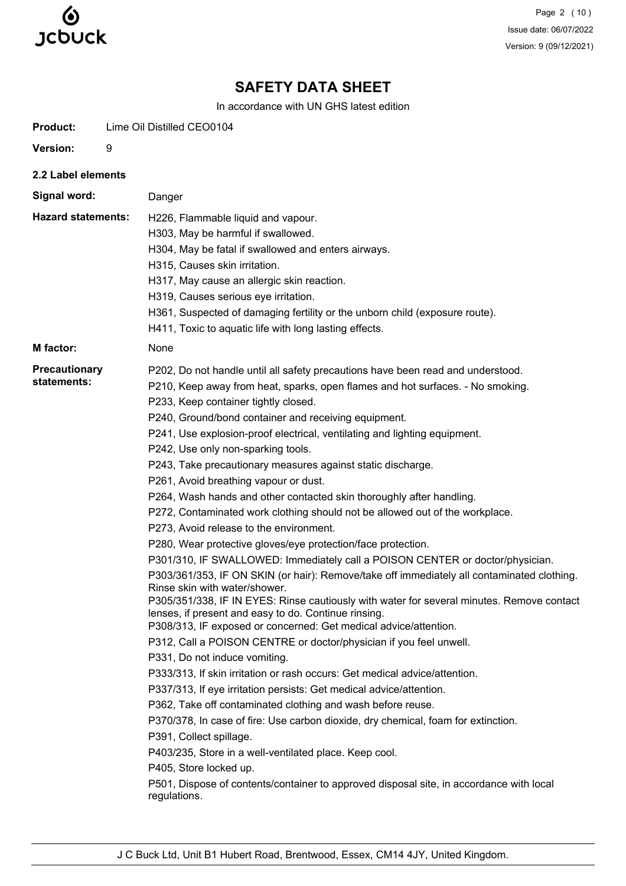

Page 2 (10) Issue date: 06/07/2022 Version: 9 (09/12/2021)

# **SAFETY DATA SHEET**

In accordance with UN GHS latest edition

| <b>Product:</b>                     | Lime Oil Distilled CEO0104                                                                                                                                                                                                                                                                                                                                                                                                                                                                                                                                                                                                                                                                                                                                                                                                                                                                                                                                                                                                                                                                                                                                                                                                                                                                                                                                                                                                                                                                                                                                                                                                                                                                                                              |
|-------------------------------------|-----------------------------------------------------------------------------------------------------------------------------------------------------------------------------------------------------------------------------------------------------------------------------------------------------------------------------------------------------------------------------------------------------------------------------------------------------------------------------------------------------------------------------------------------------------------------------------------------------------------------------------------------------------------------------------------------------------------------------------------------------------------------------------------------------------------------------------------------------------------------------------------------------------------------------------------------------------------------------------------------------------------------------------------------------------------------------------------------------------------------------------------------------------------------------------------------------------------------------------------------------------------------------------------------------------------------------------------------------------------------------------------------------------------------------------------------------------------------------------------------------------------------------------------------------------------------------------------------------------------------------------------------------------------------------------------------------------------------------------------|
| Version:                            | 9                                                                                                                                                                                                                                                                                                                                                                                                                                                                                                                                                                                                                                                                                                                                                                                                                                                                                                                                                                                                                                                                                                                                                                                                                                                                                                                                                                                                                                                                                                                                                                                                                                                                                                                                       |
| 2.2 Label elements                  |                                                                                                                                                                                                                                                                                                                                                                                                                                                                                                                                                                                                                                                                                                                                                                                                                                                                                                                                                                                                                                                                                                                                                                                                                                                                                                                                                                                                                                                                                                                                                                                                                                                                                                                                         |
| Signal word:                        | Danger                                                                                                                                                                                                                                                                                                                                                                                                                                                                                                                                                                                                                                                                                                                                                                                                                                                                                                                                                                                                                                                                                                                                                                                                                                                                                                                                                                                                                                                                                                                                                                                                                                                                                                                                  |
| <b>Hazard statements:</b>           | H226, Flammable liquid and vapour.<br>H303, May be harmful if swallowed.<br>H304, May be fatal if swallowed and enters airways.<br>H315, Causes skin irritation.<br>H317, May cause an allergic skin reaction.<br>H319, Causes serious eye irritation.<br>H361, Suspected of damaging fertility or the unborn child (exposure route).<br>H411, Toxic to aquatic life with long lasting effects.                                                                                                                                                                                                                                                                                                                                                                                                                                                                                                                                                                                                                                                                                                                                                                                                                                                                                                                                                                                                                                                                                                                                                                                                                                                                                                                                         |
| <b>M</b> factor:                    | None                                                                                                                                                                                                                                                                                                                                                                                                                                                                                                                                                                                                                                                                                                                                                                                                                                                                                                                                                                                                                                                                                                                                                                                                                                                                                                                                                                                                                                                                                                                                                                                                                                                                                                                                    |
| <b>Precautionary</b><br>statements: | P202, Do not handle until all safety precautions have been read and understood.<br>P210, Keep away from heat, sparks, open flames and hot surfaces. - No smoking.<br>P233, Keep container tightly closed.<br>P240, Ground/bond container and receiving equipment.<br>P241, Use explosion-proof electrical, ventilating and lighting equipment.<br>P242, Use only non-sparking tools.<br>P243, Take precautionary measures against static discharge.<br>P261, Avoid breathing vapour or dust.<br>P264, Wash hands and other contacted skin thoroughly after handling.<br>P272, Contaminated work clothing should not be allowed out of the workplace.<br>P273, Avoid release to the environment.<br>P280, Wear protective gloves/eye protection/face protection.<br>P301/310, IF SWALLOWED: Immediately call a POISON CENTER or doctor/physician.<br>P303/361/353, IF ON SKIN (or hair): Remove/take off immediately all contaminated clothing.<br>Rinse skin with water/shower.<br>P305/351/338, IF IN EYES: Rinse cautiously with water for several minutes. Remove contact<br>lenses, if present and easy to do. Continue rinsing.<br>P308/313, IF exposed or concerned: Get medical advice/attention.<br>P312, Call a POISON CENTRE or doctor/physician if you feel unwell.<br>P331, Do not induce vomiting.<br>P333/313, If skin irritation or rash occurs: Get medical advice/attention.<br>P337/313, If eye irritation persists: Get medical advice/attention.<br>P362, Take off contaminated clothing and wash before reuse.<br>P370/378, In case of fire: Use carbon dioxide, dry chemical, foam for extinction.<br>P391, Collect spillage.<br>P403/235, Store in a well-ventilated place. Keep cool.<br>P405, Store locked up. |
|                                     | P501, Dispose of contents/container to approved disposal site, in accordance with local<br>regulations.                                                                                                                                                                                                                                                                                                                                                                                                                                                                                                                                                                                                                                                                                                                                                                                                                                                                                                                                                                                                                                                                                                                                                                                                                                                                                                                                                                                                                                                                                                                                                                                                                                 |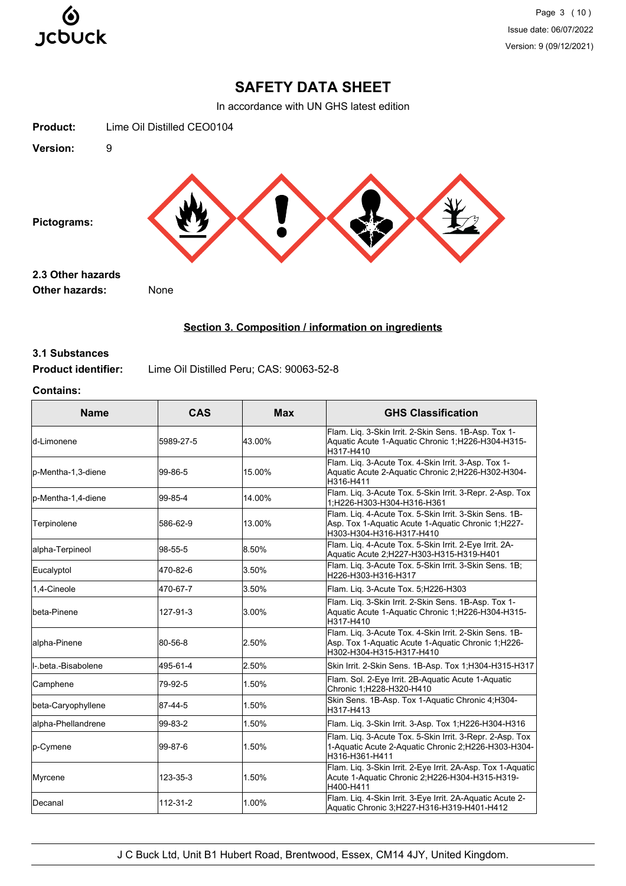

# **SAFETY DATA SHEET**

In accordance with UN GHS latest edition



# **Section 3. Composition / information on ingredients**

# **3.1 Substances**

**Product identifier:** Lime Oil Distilled Peru; CAS: 90063-52-8

# **Contains:**

| <b>Name</b>          | <b>CAS</b> | <b>Max</b> | <b>GHS Classification</b>                                                                                                                 |
|----------------------|------------|------------|-------------------------------------------------------------------------------------------------------------------------------------------|
| d-Limonene           | 5989-27-5  | 43.00%     | Flam. Liq. 3-Skin Irrit. 2-Skin Sens. 1B-Asp. Tox 1-<br>Aquatic Acute 1-Aquatic Chronic 1;H226-H304-H315-<br>H317-H410                    |
| p-Mentha-1,3-diene   | 99-86-5    | 15.00%     | Flam. Liq. 3-Acute Tox. 4-Skin Irrit. 3-Asp. Tox 1-<br>Aquatic Acute 2-Aquatic Chronic 2;H226-H302-H304-<br>H316-H411                     |
| p-Mentha-1,4-diene   | 99-85-4    | 14.00%     | Flam. Liq. 3-Acute Tox. 5-Skin Irrit. 3-Repr. 2-Asp. Tox<br>1;H226-H303-H304-H316-H361                                                    |
| Terpinolene          | 586-62-9   | 13.00%     | Flam. Liq. 4-Acute Tox. 5-Skin Irrit. 3-Skin Sens. 1B-<br>Asp. Tox 1-Aquatic Acute 1-Aquatic Chronic 1;H227-<br>H303-H304-H316-H317-H410  |
| alpha-Terpineol      | 98-55-5    | 8.50%      | Flam. Liq. 4-Acute Tox. 5-Skin Irrit. 2-Eye Irrit. 2A-<br>Aquatic Acute 2; H227-H303-H315-H319-H401                                       |
| Eucalyptol           | 470-82-6   | 3.50%      | Flam. Liq. 3-Acute Tox. 5-Skin Irrit. 3-Skin Sens. 1B;<br>H226-H303-H316-H317                                                             |
| 1.4-Cineole          | 470-67-7   | 3.50%      | Flam. Liq. 3-Acute Tox. 5; H226-H303                                                                                                      |
| beta-Pinene          | 127-91-3   | 3.00%      | Flam. Lig. 3-Skin Irrit. 2-Skin Sens. 1B-Asp. Tox 1-<br>Aquatic Acute 1-Aquatic Chronic 1;H226-H304-H315-<br>H317-H410                    |
| alpha-Pinene         | 80-56-8    | 2.50%      | Flam. Liq. 3-Acute Tox. 4-Skin Irrit. 2-Skin Sens. 1B-<br>Asp. Tox 1-Aquatic Acute 1-Aquatic Chronic 1, H226-<br>H302-H304-H315-H317-H410 |
| II- beta -Bisabolene | 495-61-4   | 2.50%      | Skin Irrit. 2-Skin Sens. 1B-Asp. Tox 1;H304-H315-H317                                                                                     |
| Camphene             | 79-92-5    | 1.50%      | Flam. Sol. 2-Eye Irrit. 2B-Aquatic Acute 1-Aquatic<br>Chronic 1;H228-H320-H410                                                            |
| beta-Caryophyllene   | 87-44-5    | 1.50%      | Skin Sens. 1B-Asp. Tox 1-Aquatic Chronic 4;H304-<br>H317-H413                                                                             |
| alpha-Phellandrene   | 99-83-2    | 1.50%      | Flam. Liq. 3-Skin Irrit. 3-Asp. Tox 1;H226-H304-H316                                                                                      |
| p-Cymene             | 99-87-6    | 1.50%      | Flam. Lig. 3-Acute Tox. 5-Skin Irrit. 3-Repr. 2-Asp. Tox<br>1-Aquatic Acute 2-Aquatic Chronic 2;H226-H303-H304-<br>H316-H361-H411         |
| Myrcene              | 123-35-3   | 1.50%      | Flam. Liq. 3-Skin Irrit. 2-Eye Irrit. 2A-Asp. Tox 1-Aquatic<br>Acute 1-Aquatic Chronic 2;H226-H304-H315-H319-<br>H400-H411                |
| Decanal              | 112-31-2   | 1.00%      | Flam. Liq. 4-Skin Irrit. 3-Eye Irrit. 2A-Aquatic Acute 2-<br>Aquatic Chronic 3;H227-H316-H319-H401-H412                                   |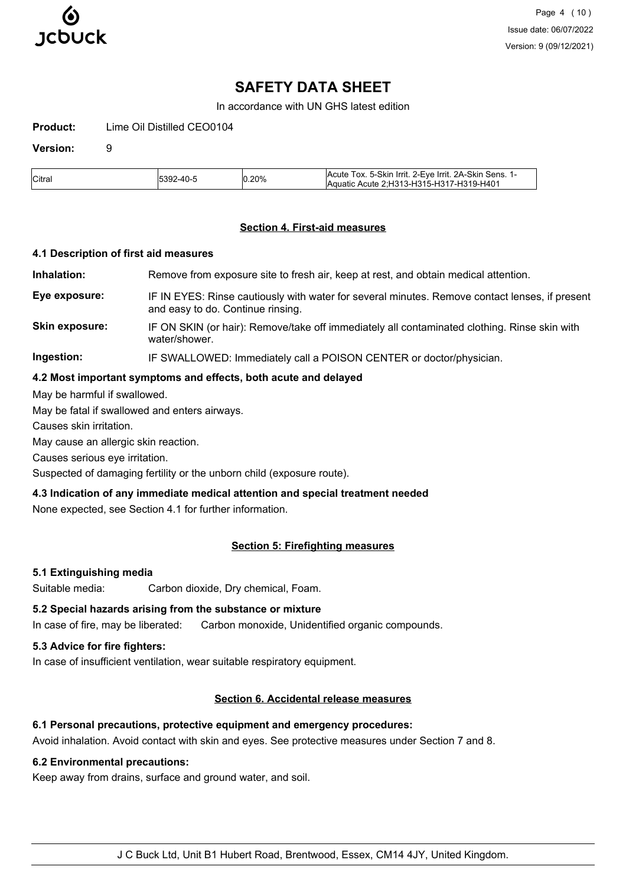

# **SAFETY DATA SHEET**

In accordance with UN GHS latest edition

**Product:** Lime Oil Distilled CEO0104

### **Version:** 9

| <b>Citra</b> | -4∩. | 0.20% | IAcute Tox, 5-Skin Irrit, 2-Eve Irrit, 2A-Skin Sens,<br>Aquatic Acute 2: H313-H315-H317-H319-H401 |
|--------------|------|-------|---------------------------------------------------------------------------------------------------|

### **Section 4. First-aid measures**

#### **4.1 Description of first aid measures**

**Inhalation:** Remove from exposure site to fresh air, keep at rest, and obtain medical attention.

**Eye exposure:** IF IN EYES: Rinse cautiously with water for several minutes. Remove contact lenses, if present and easy to do. Continue rinsing.

**Skin exposure:** IF ON SKIN (or hair): Remove/take off immediately all contaminated clothing. Rinse skin with water/shower.

**Ingestion:** IF SWALLOWED: Immediately call a POISON CENTER or doctor/physician.

### **4.2 Most important symptoms and effects, both acute and delayed**

May be harmful if swallowed.

May be fatal if swallowed and enters airways.

Causes skin irritation.

May cause an allergic skin reaction.

Causes serious eye irritation.

Suspected of damaging fertility or the unborn child (exposure route).

#### **4.3 Indication of any immediate medical attention and special treatment needed**

None expected, see Section 4.1 for further information.

# **Section 5: Firefighting measures**

#### **5.1 Extinguishing media**

Suitable media: Carbon dioxide, Dry chemical, Foam.

### **5.2 Special hazards arising from the substance or mixture**

In case of fire, may be liberated: Carbon monoxide, Unidentified organic compounds.

# **5.3 Advice for fire fighters:**

In case of insufficient ventilation, wear suitable respiratory equipment.

# **Section 6. Accidental release measures**

### **6.1 Personal precautions, protective equipment and emergency procedures:**

Avoid inhalation. Avoid contact with skin and eyes. See protective measures under Section 7 and 8.

#### **6.2 Environmental precautions:**

Keep away from drains, surface and ground water, and soil.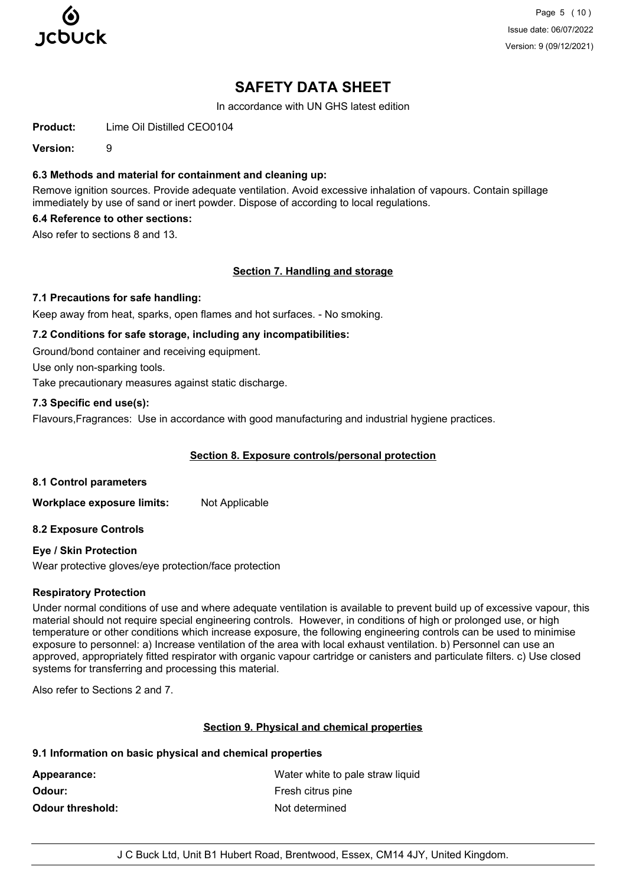

Page 5 (10) Issue date: 06/07/2022 Version: 9 (09/12/2021)

# **SAFETY DATA SHEET**

In accordance with UN GHS latest edition

**Product:** Lime Oil Distilled CEO0104

**Version:** 9

### **6.3 Methods and material for containment and cleaning up:**

Remove ignition sources. Provide adequate ventilation. Avoid excessive inhalation of vapours. Contain spillage immediately by use of sand or inert powder. Dispose of according to local regulations.

## **6.4 Reference to other sections:**

Also refer to sections 8 and 13.

## **Section 7. Handling and storage**

#### **7.1 Precautions for safe handling:**

Keep away from heat, sparks, open flames and hot surfaces. - No smoking.

#### **7.2 Conditions for safe storage, including any incompatibilities:**

Ground/bond container and receiving equipment.

Use only non-sparking tools.

Take precautionary measures against static discharge.

## **7.3 Specific end use(s):**

Flavours,Fragrances: Use in accordance with good manufacturing and industrial hygiene practices.

## **Section 8. Exposure controls/personal protection**

#### **8.1 Control parameters**

**Workplace exposure limits:** Not Applicable

#### **8.2 Exposure Controls**

#### **Eye / Skin Protection**

Wear protective gloves/eye protection/face protection

#### **Respiratory Protection**

Under normal conditions of use and where adequate ventilation is available to prevent build up of excessive vapour, this material should not require special engineering controls. However, in conditions of high or prolonged use, or high temperature or other conditions which increase exposure, the following engineering controls can be used to minimise exposure to personnel: a) Increase ventilation of the area with local exhaust ventilation. b) Personnel can use an approved, appropriately fitted respirator with organic vapour cartridge or canisters and particulate filters. c) Use closed systems for transferring and processing this material.

Also refer to Sections 2 and 7.

#### **Section 9. Physical and chemical properties**

#### **9.1 Information on basic physical and chemical properties**

| Appearance:             | Water white to pale straw liquid |
|-------------------------|----------------------------------|
| Odour:                  | Fresh citrus pine                |
| <b>Odour threshold:</b> | Not determined                   |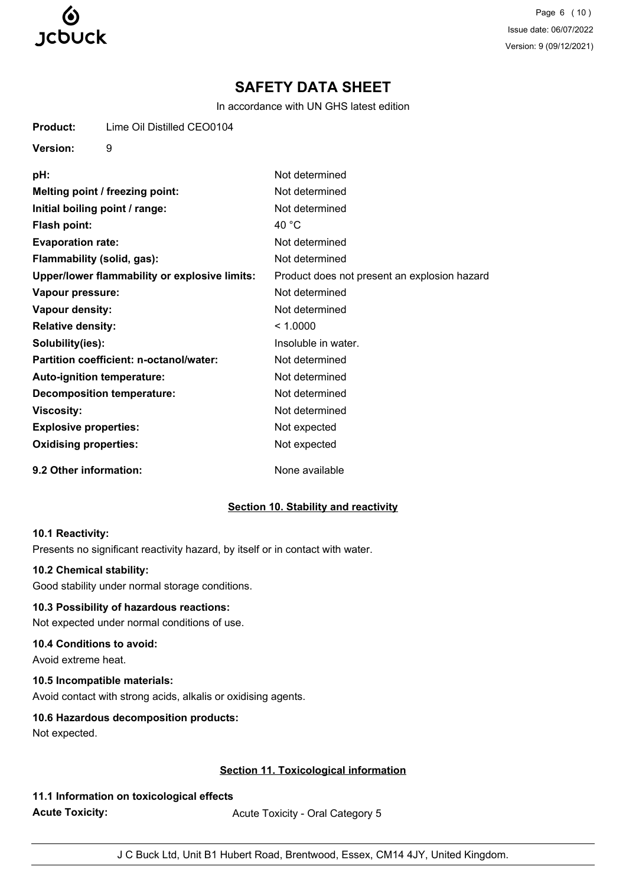

Page 6 (10) Issue date: 06/07/2022 Version: 9 (09/12/2021)

# **SAFETY DATA SHEET**

In accordance with UN GHS latest edition

| Product: | Lime Oil Distilled CEO0104 |
|----------|----------------------------|
|          |                            |

**Version:** 9

| pH:                                           | Not determined                               |
|-----------------------------------------------|----------------------------------------------|
| Melting point / freezing point:               | Not determined                               |
| Initial boiling point / range:                | Not determined                               |
| <b>Flash point:</b>                           | 40 $^{\circ}$ C                              |
| <b>Evaporation rate:</b>                      | Not determined                               |
| Flammability (solid, gas):                    | Not determined                               |
| Upper/lower flammability or explosive limits: | Product does not present an explosion hazard |
| Vapour pressure:                              | Not determined                               |
| Vapour density:                               | Not determined                               |
| <b>Relative density:</b>                      | < 1.0000                                     |
| Solubility(ies):                              | Insoluble in water.                          |
| Partition coefficient: n-octanol/water:       | Not determined                               |
| Auto-ignition temperature:                    | Not determined                               |
| <b>Decomposition temperature:</b>             | Not determined                               |
| <b>Viscosity:</b>                             | Not determined                               |
| <b>Explosive properties:</b>                  | Not expected                                 |
| <b>Oxidising properties:</b>                  | Not expected                                 |
| 9.2 Other information:                        | None available                               |

# **Section 10. Stability and reactivity**

#### **10.1 Reactivity:**

Presents no significant reactivity hazard, by itself or in contact with water.

# **10.2 Chemical stability:**

Good stability under normal storage conditions.

# **10.3 Possibility of hazardous reactions:**

Not expected under normal conditions of use.

# **10.4 Conditions to avoid:**

Avoid extreme heat.

# **10.5 Incompatible materials:**

Avoid contact with strong acids, alkalis or oxidising agents.

# **10.6 Hazardous decomposition products:**

Not expected.

# **Section 11. Toxicological information**

**11.1 Information on toxicological effects Acute Toxicity:** Acute Toxicity - Oral Category 5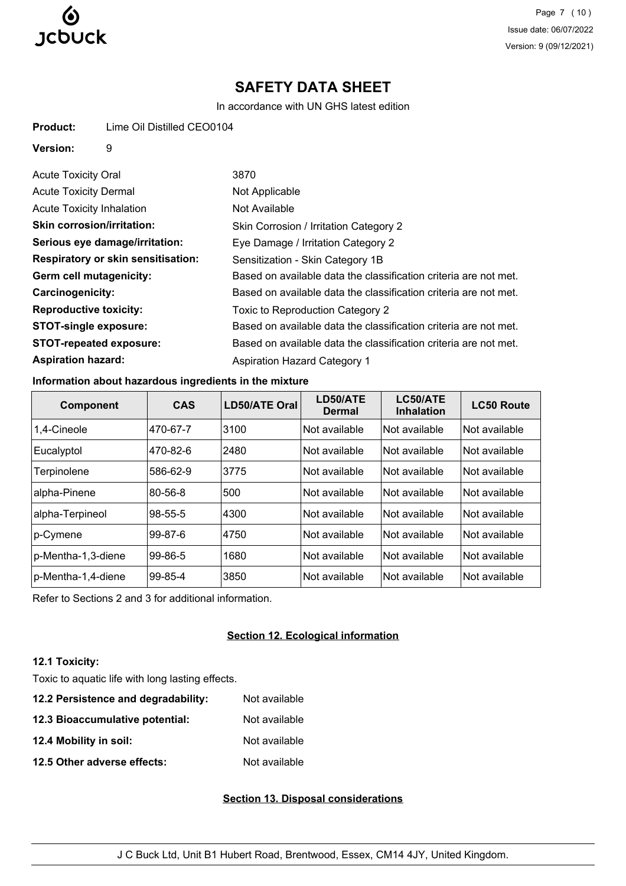

Page 7 (10) Issue date: 06/07/2022 Version: 9 (09/12/2021)

# **SAFETY DATA SHEET**

In accordance with UN GHS latest edition

| Lime Oil Distilled CEO0104<br><b>Product:</b> |  |
|-----------------------------------------------|--|
|-----------------------------------------------|--|

### **Version:** 9

| <b>Acute Toxicity Oral</b>                | 3870                                                             |
|-------------------------------------------|------------------------------------------------------------------|
| <b>Acute Toxicity Dermal</b>              | Not Applicable                                                   |
| <b>Acute Toxicity Inhalation</b>          | Not Available                                                    |
| <b>Skin corrosion/irritation:</b>         | Skin Corrosion / Irritation Category 2                           |
| Serious eye damage/irritation:            | Eye Damage / Irritation Category 2                               |
| <b>Respiratory or skin sensitisation:</b> | Sensitization - Skin Category 1B                                 |
| Germ cell mutagenicity:                   | Based on available data the classification criteria are not met. |
| Carcinogenicity:                          | Based on available data the classification criteria are not met. |
| <b>Reproductive toxicity:</b>             | Toxic to Reproduction Category 2                                 |
| <b>STOT-single exposure:</b>              | Based on available data the classification criteria are not met. |
| <b>STOT-repeated exposure:</b>            | Based on available data the classification criteria are not met. |
| <b>Aspiration hazard:</b>                 | <b>Aspiration Hazard Category 1</b>                              |

# **Information about hazardous ingredients in the mixture**

| <b>Component</b>   | <b>CAS</b>    | <b>LD50/ATE Oral</b> | LD50/ATE<br><b>Dermal</b> | LC50/ATE<br><b>Inhalation</b> | <b>LC50 Route</b>    |
|--------------------|---------------|----------------------|---------------------------|-------------------------------|----------------------|
| 1.4-Cineole        | 470-67-7      | 3100                 | Not available             | Not available                 | Not available        |
| Eucalyptol         | 470-82-6      | 2480                 | Not available             | Not available                 | <b>Not available</b> |
| Terpinolene        | 586-62-9      | 3775                 | Not available             | Not available                 | Not available        |
| alpha-Pinene       | 80-56-8       | 500                  | Not available             | Not available                 | Not available        |
| alpha-Terpineol    | 98-55-5       | 4300                 | Not available             | Not available                 | Not available        |
| p-Cymene           | $99 - 87 - 6$ | 4750                 | <b>Not available</b>      | Not available                 | Not available        |
| p-Mentha-1,3-diene | 99-86-5       | 1680                 | Not available             | Not available                 | Not available        |
| p-Mentha-1,4-diene | 99-85-4       | 3850                 | Not available             | Not available                 | Not available        |

Refer to Sections 2 and 3 for additional information.

# **Section 12. Ecological information**

# **12.1 Toxicity:**

Toxic to aquatic life with long lasting effects.

**12.2 Persistence and degradability:** Not available **12.3 Bioaccumulative potential:** Not available **12.4 Mobility in soil:** Not available **12.5 Other adverse effects:** Not available

# **Section 13. Disposal considerations**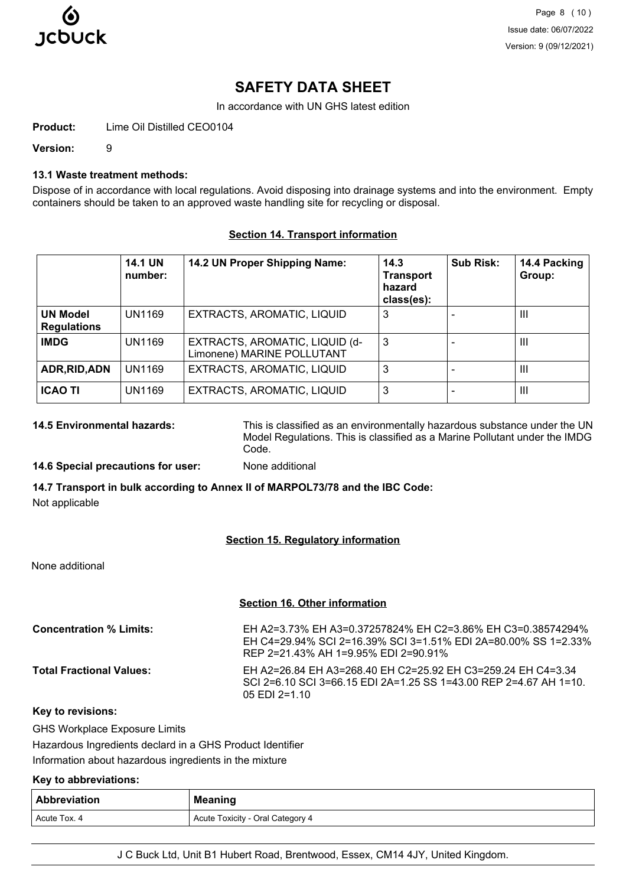

Page 8 (10) Issue date: 06/07/2022 Version: 9 (09/12/2021)

# **SAFETY DATA SHEET**

In accordance with UN GHS latest edition

**Product:** Lime Oil Distilled CEO0104

**Version:** 9

### **13.1 Waste treatment methods:**

Dispose of in accordance with local regulations. Avoid disposing into drainage systems and into the environment. Empty containers should be taken to an approved waste handling site for recycling or disposal.

#### **Section 14. Transport information**

|                                       | <b>14.1 UN</b><br>number: | 14.2 UN Proper Shipping Name:                                | 14.3<br><b>Transport</b><br>hazard<br>class(es): | <b>Sub Risk:</b> | 14.4 Packing<br>Group: |
|---------------------------------------|---------------------------|--------------------------------------------------------------|--------------------------------------------------|------------------|------------------------|
| <b>UN Model</b><br><b>Regulations</b> | UN1169                    | EXTRACTS, AROMATIC, LIQUID                                   | 3                                                |                  | Ш                      |
| <b>IMDG</b>                           | <b>UN1169</b>             | EXTRACTS, AROMATIC, LIQUID (d-<br>Limonene) MARINE POLLUTANT | 3                                                |                  | $\mathbf{III}$         |
| ADR, RID, ADN                         | UN1169                    | EXTRACTS, AROMATIC, LIQUID                                   | 3                                                |                  | Ш                      |
| <b>ICAO TI</b>                        | UN1169                    | EXTRACTS, AROMATIC, LIQUID                                   | 3                                                |                  | $\mathbf{III}$         |

**14.5 Environmental hazards:** This is classified as an environmentally hazardous substance under the UN Model Regulations. This is classified as a Marine Pollutant under the IMDG Code.

#### **14.6 Special precautions for user:** None additional

**14.7 Transport in bulk according to Annex II of MARPOL73/78 and the IBC Code:** Not applicable

#### **Section 15. Regulatory information**

None additional

#### **Section 16. Other information**

| <b>Concentration % Limits:</b>  | EH A2=3.73% EH A3=0.37257824% EH C2=3.86% EH C3=0.38574294%<br>EH C4=29.94% SCI 2=16.39% SCI 3=1.51% EDI 2A=80.00% SS 1=2.33%<br>REP 2=21.43% AH 1=9.95% EDI 2=90.91% |
|---------------------------------|-----------------------------------------------------------------------------------------------------------------------------------------------------------------------|
| <b>Total Fractional Values:</b> | EH A2=26.84 EH A3=268.40 EH C2=25.92 EH C3=259.24 EH C4=3.34<br>SCI 2=6.10 SCI 3=66.15 EDI 2A=1.25 SS 1=43.00 REP 2=4.67 AH 1=10.<br>$0.5$ EDI 2=1.10                 |

#### **Key to revisions:**

GHS Workplace Exposure Limits

Hazardous Ingredients declard in a GHS Product Identifier

Information about hazardous ingredients in the mixture

# **Key to abbreviations:**

| <b>Abbreviation</b> | <b>Meaning</b>                   |
|---------------------|----------------------------------|
| Acute Tox, 4        | Acute Toxicity - Oral Category 4 |

J C Buck Ltd, Unit B1 Hubert Road, Brentwood, Essex, CM14 4JY, United Kingdom.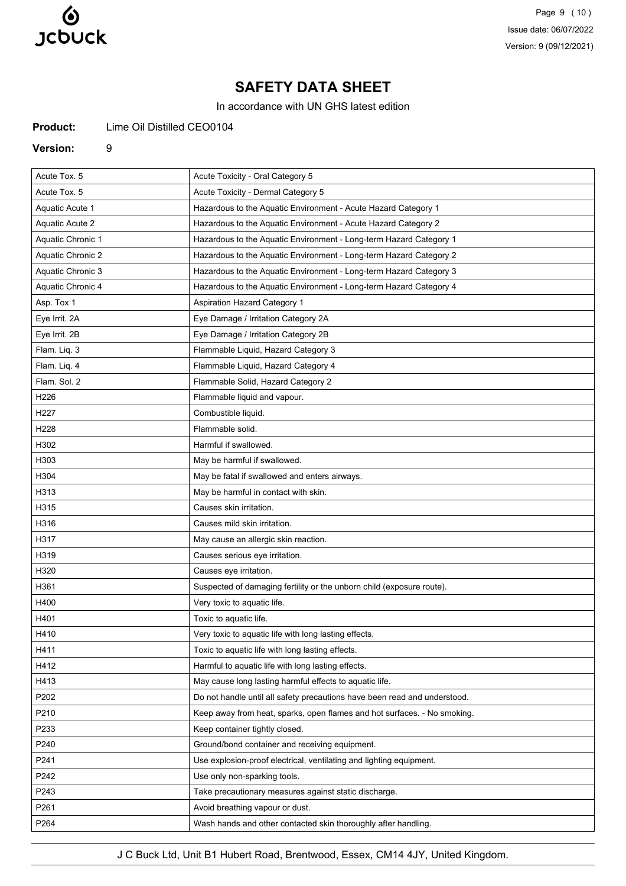

Page 9 (10) Issue date: 06/07/2022 Version: 9 (09/12/2021)

# **SAFETY DATA SHEET**

In accordance with UN GHS latest edition

**Product:** Lime Oil Distilled CEO0104

#### **Version:** 9

| Acute Tox. 5      | Acute Toxicity - Oral Category 5                                          |
|-------------------|---------------------------------------------------------------------------|
| Acute Tox. 5      | Acute Toxicity - Dermal Category 5                                        |
| Aquatic Acute 1   | Hazardous to the Aquatic Environment - Acute Hazard Category 1            |
| Aquatic Acute 2   | Hazardous to the Aquatic Environment - Acute Hazard Category 2            |
| Aquatic Chronic 1 | Hazardous to the Aquatic Environment - Long-term Hazard Category 1        |
| Aquatic Chronic 2 | Hazardous to the Aquatic Environment - Long-term Hazard Category 2        |
| Aquatic Chronic 3 | Hazardous to the Aquatic Environment - Long-term Hazard Category 3        |
| Aquatic Chronic 4 | Hazardous to the Aquatic Environment - Long-term Hazard Category 4        |
| Asp. Tox 1        | Aspiration Hazard Category 1                                              |
| Eye Irrit. 2A     | Eye Damage / Irritation Category 2A                                       |
| Eye Irrit. 2B     | Eye Damage / Irritation Category 2B                                       |
| Flam. Liq. 3      | Flammable Liquid, Hazard Category 3                                       |
| Flam. Liq. 4      | Flammable Liquid, Hazard Category 4                                       |
| Flam. Sol. 2      | Flammable Solid, Hazard Category 2                                        |
| H226              | Flammable liquid and vapour.                                              |
| H227              | Combustible liquid.                                                       |
| H228              | Flammable solid.                                                          |
| H302              | Harmful if swallowed.                                                     |
| H303              | May be harmful if swallowed.                                              |
| H304              | May be fatal if swallowed and enters airways.                             |
| H313              | May be harmful in contact with skin.                                      |
| H315              | Causes skin irritation.                                                   |
| H316              | Causes mild skin irritation.                                              |
| H317              | May cause an allergic skin reaction.                                      |
| H319              | Causes serious eye irritation.                                            |
| H320              | Causes eye irritation.                                                    |
| H361              | Suspected of damaging fertility or the unborn child (exposure route).     |
| H400              | Very toxic to aquatic life.                                               |
| H401              | Toxic to aquatic life.                                                    |
| H410              | Very toxic to aquatic life with long lasting effects.                     |
| H411              | Toxic to aquatic life with long lasting effects.                          |
| H412              | Harmful to aquatic life with long lasting effects.                        |
| H413              | May cause long lasting harmful effects to aquatic life.                   |
| P202              | Do not handle until all safety precautions have been read and understood. |
| P210              | Keep away from heat, sparks, open flames and hot surfaces. - No smoking.  |
| P233              | Keep container tightly closed.                                            |
| P240              | Ground/bond container and receiving equipment.                            |
| P241              | Use explosion-proof electrical, ventilating and lighting equipment.       |
| P242              | Use only non-sparking tools.                                              |
| P243              | Take precautionary measures against static discharge.                     |
| P261              |                                                                           |
|                   | Avoid breathing vapour or dust.                                           |

J C Buck Ltd, Unit B1 Hubert Road, Brentwood, Essex, CM14 4JY, United Kingdom.